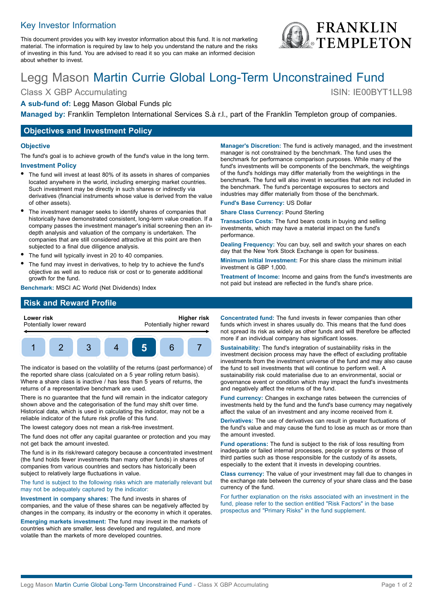## Key Investor Information

This document provides you with key investor information about this fund. It is not marketing material. The information is required by law to help you understand the nature and the risks of investing in this fund. You are advised to read it so you can make an informed decision about whether to invest.

# Legg Mason Martin Currie Global Long-Term Unconstrained Fund

Class X GBP Accumulating ISIN: IE00BYT1LL98

## **A sub-fund of:** Legg Mason Global Funds plc

**Managed by:** Franklin Templeton International Services S.à r.l., part of the Franklin Templeton group of companies.

## **Objectives and Investment Policy**

#### **Objective**

The fund's goal is to achieve growth of the fund's value in the long term. **Investment Policy**

- The fund will invest at least 80% of its assets in shares of companies located anywhere in the world, including emerging market countries. Such investment may be directly in such shares or indirectly via
- derivatives (financial instruments whose value is derived from the value of other assets).
- The investment manager seeks to identify shares of companies that historically have demonstrated consistent, long-term value creation. If a company passes the investment manager's initial screening then an indepth analysis and valuation of the company is undertaken. The companies that are still considered attractive at this point are then subjected to a final due diligence analysis.
- The fund will typically invest in 20 to 40 companies.
- The fund may invest in derivatives, to help try to achieve the fund's objective as well as to reduce risk or cost or to generate additional growth for the fund.

**Benchmark:** MSCI AC World (Net Dividends) Index

**Manager's Discretion:** The fund is actively managed, and the investment manager is not constrained by the benchmark. The fund uses the benchmark for performance comparison purposes. While many of the fund's investments will be components of the benchmark, the weightings of the fund's holdings may differ materially from the weightings in the benchmark. The fund will also invest in securities that are not included in the benchmark. The fund's percentage exposures to sectors and industries may differ materially from those of the benchmark.

**Fund's Base Currency:** US Dollar

**Share Class Currency:** Pound Sterling

**Transaction Costs:** The fund bears costs in buying and selling investments, which may have a material impact on the fund's performance.

**Dealing Frequency:** You can buy, sell and switch your shares on each day that the New York Stock Exchange is open for business.

**Minimum Initial Investment:** For this share class the minimum initial investment is GBP 1,000.

**Treatment of Income:** Income and gains from the fund's investments are not paid but instead are reflected in the fund's share price.

## **Risk and Reward Profile**



The indicator is based on the volatility of the returns (past performance) of the reported share class (calculated on a 5 year rolling return basis). Where a share class is inactive / has less than 5 years of returns, the returns of a representative benchmark are used.

There is no guarantee that the fund will remain in the indicator category shown above and the categorisation of the fund may shift over time. Historical data, which is used in calculating the indicator, may not be a reliable indicator of the future risk profile of this fund.

The lowest category does not mean a risk-free investment.

The fund does not offer any capital guarantee or protection and you may not get back the amount invested.

The fund is in its risk/reward category because a concentrated investment (the fund holds fewer investments than many other funds) in shares of companies from various countries and sectors has historically been subject to relatively large fluctuations in value.

The fund is subject to the following risks which are materially relevant but may not be adequately captured by the indicator:

**Investment in company shares:** The fund invests in shares of companies, and the value of these shares can be negatively affected by changes in the company, its industry or the economy in which it operates.

**Emerging markets investment:** The fund may invest in the markets of countries which are smaller, less developed and regulated, and more volatile than the markets of more developed countries.

**Concentrated fund:** The fund invests in fewer companies than other funds which invest in shares usually do. This means that the fund does not spread its risk as widely as other funds and will therefore be affected more if an individual company has significant losses.

**Sustainability:** The fund's integration of sustainability risks in the investment decision process may have the effect of excluding profitable investments from the investment universe of the fund and may also cause the fund to sell investments that will continue to perform well. A sustainability risk could materialise due to an environmental, social or governance event or condition which may impact the fund's investments and negatively affect the returns of the fund.

**Fund currency:** Changes in exchange rates between the currencies of investments held by the fund and the fund's base currency may negatively affect the value of an investment and any income received from it.

**Derivatives:** The use of derivatives can result in greater fluctuations of the fund's value and may cause the fund to lose as much as or more than the amount invested.

**Fund operations:** The fund is subject to the risk of loss resulting from inadequate or failed internal processes, people or systems or those of third parties such as those responsible for the custody of its assets, especially to the extent that it invests in developing countries.

**Class currency:** The value of your investment may fall due to changes in the exchange rate between the currency of your share class and the base currency of the fund.

For further explanation on the risks associated with an investment in the fund, please refer to the section entitled "Risk Factors" in the base prospectus and "Primary Risks" in the fund supplement.